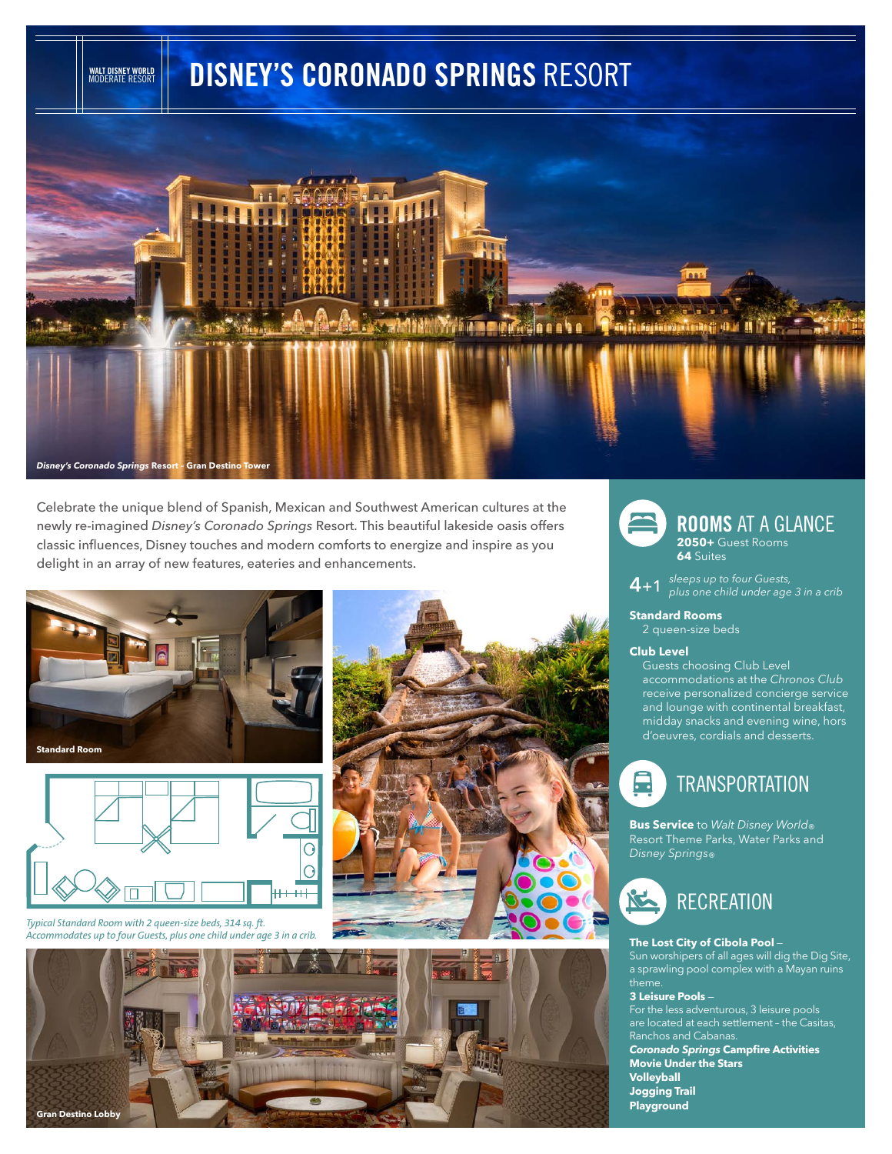# **DISNEY'S CORONADO SPRINGS** RESORT



Celebrate the unique blend of Spanish, Mexican and Southwest American cultures at the newly re-imagined *Disney's Coronado Springs* Resort. This beautiful lakeside oasis offers classic influences, Disney touches and modern comforts to energize and inspire as you delight in an array of new features, eateries and enhancements.



**WALT DISNEY WORLD** MODERATE RESORT



*Typical Standard Room with 2 queen-size beds, 314 sq. ft. Accommodates up to four Guests, plus one child under age 3 in a crib.*







## **ROOMS** AT A GLANCE

**2050+** Guest Rooms **64** Suites

**4**+1 *sleeps up to four Guests, plus one child under age 3 in a crib* 

**Standard Rooms** 2 queen-size beds

#### **Club Level**

Guests choosing Club Level accommodations at the *Chronos Club* receive personalized concierge service and lounge with continental breakfast, midday snacks and evening wine, hors d'oeuvres, cordials and desserts.



**Bus Service** to *Walt Disney World* ®<br>Resort Theme Parks, Water Parks and *Disney Springs*®



#### **The Lost City of Cibola Pool** —

Sun worshipers of all ages will dig the Dig Site, a sprawling pool complex with a Mayan ruins theme.

#### **3 Leisure Pools** —

For the less adventurous, 3 leisure pools are located at each settlement – the Casitas, Ranchos and Cabanas. *Coronado Springs* **Campfire Activities** 

**Movie Under the Stars Volleyball Jogging Trail Playground**